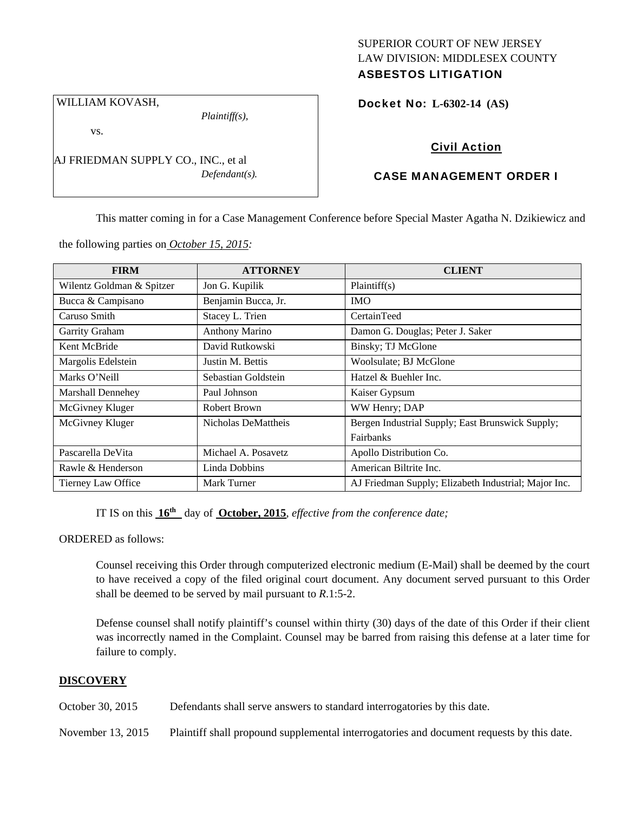# SUPERIOR COURT OF NEW JERSEY LAW DIVISION: MIDDLESEX COUNTY ASBESTOS LITIGATION

Docket No: **L-6302-14 (AS)** 

WILLIAM KOVASH,

vs.

*Plaintiff(s),* 

*Defendant(s).* 

Civil Action

# CASE MANAGEMENT ORDER I

This matter coming in for a Case Management Conference before Special Master Agatha N. Dzikiewicz and

the following parties on *October 15, 2015:* 

AJ FRIEDMAN SUPPLY CO., INC., et al

| <b>FIRM</b>               | <b>ATTORNEY</b>     | <b>CLIENT</b>                                        |
|---------------------------|---------------------|------------------------------------------------------|
| Wilentz Goldman & Spitzer | Jon G. Kupilik      | Plaintiff(s)                                         |
| Bucca & Campisano         | Benjamin Bucca, Jr. | <b>IMO</b>                                           |
| Caruso Smith              | Stacey L. Trien     | CertainTeed                                          |
| Garrity Graham            | Anthony Marino      | Damon G. Douglas; Peter J. Saker                     |
| Kent McBride              | David Rutkowski     | Binsky; TJ McGlone                                   |
| Margolis Edelstein        | Justin M. Bettis    | Woolsulate; BJ McGlone                               |
| Marks O'Neill             | Sebastian Goldstein | Hatzel & Buehler Inc.                                |
| <b>Marshall Dennehey</b>  | Paul Johnson        | Kaiser Gypsum                                        |
| McGivney Kluger           | Robert Brown        | WW Henry; DAP                                        |
| McGivney Kluger           | Nicholas DeMattheis | Bergen Industrial Supply; East Brunswick Supply;     |
|                           |                     | <b>Fairbanks</b>                                     |
| Pascarella DeVita         | Michael A. Posavetz | Apollo Distribution Co.                              |
| Rawle & Henderson         | Linda Dobbins       | American Biltrite Inc.                               |
| Tierney Law Office        | Mark Turner         | AJ Friedman Supply; Elizabeth Industrial; Major Inc. |

IT IS on this  $16<sup>th</sup>$  day of **October, 2015**, *effective from the conference date*;

ORDERED as follows:

Counsel receiving this Order through computerized electronic medium (E-Mail) shall be deemed by the court to have received a copy of the filed original court document. Any document served pursuant to this Order shall be deemed to be served by mail pursuant to *R*.1:5-2.

Defense counsel shall notify plaintiff's counsel within thirty (30) days of the date of this Order if their client was incorrectly named in the Complaint. Counsel may be barred from raising this defense at a later time for failure to comply.

# **DISCOVERY**

October 30, 2015 Defendants shall serve answers to standard interrogatories by this date.

November 13, 2015 Plaintiff shall propound supplemental interrogatories and document requests by this date.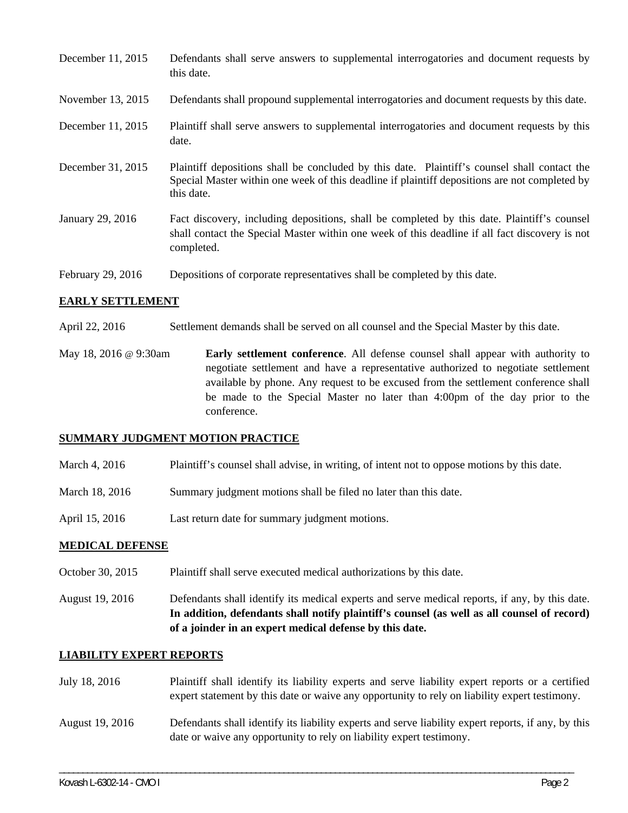| December 11, 2015 | Defendants shall serve answers to supplemental interrogatories and document requests by<br>this date.                                                                                                       |
|-------------------|-------------------------------------------------------------------------------------------------------------------------------------------------------------------------------------------------------------|
| November 13, 2015 | Defendants shall propound supplemental interrogatories and document requests by this date.                                                                                                                  |
| December 11, 2015 | Plaintiff shall serve answers to supplemental interrogatories and document requests by this<br>date.                                                                                                        |
| December 31, 2015 | Plaintiff depositions shall be concluded by this date. Plaintiff's counsel shall contact the<br>Special Master within one week of this deadline if plaintiff depositions are not completed by<br>this date. |
| January 29, 2016  | Fact discovery, including depositions, shall be completed by this date. Plaintiff's counsel<br>shall contact the Special Master within one week of this deadline if all fact discovery is not<br>completed. |
| February 29, 2016 | Depositions of corporate representatives shall be completed by this date.                                                                                                                                   |

## **EARLY SETTLEMENT**

- April 22, 2016 Settlement demands shall be served on all counsel and the Special Master by this date.
- May 18, 2016 @ 9:30am **Early settlement conference**. All defense counsel shall appear with authority to negotiate settlement and have a representative authorized to negotiate settlement available by phone. Any request to be excused from the settlement conference shall be made to the Special Master no later than 4:00pm of the day prior to the conference.

### **SUMMARY JUDGMENT MOTION PRACTICE**

- March 4, 2016 Plaintiff's counsel shall advise, in writing, of intent not to oppose motions by this date.
- March 18, 2016 Summary judgment motions shall be filed no later than this date.
- April 15, 2016 Last return date for summary judgment motions.

### **MEDICAL DEFENSE**

October 30, 2015 Plaintiff shall serve executed medical authorizations by this date.

August 19, 2016 Defendants shall identify its medical experts and serve medical reports, if any, by this date. **In addition, defendants shall notify plaintiff's counsel (as well as all counsel of record) of a joinder in an expert medical defense by this date.** 

### **LIABILITY EXPERT REPORTS**

| July 18, 2016   | Plaintiff shall identify its liability experts and serve liability expert reports or a certified<br>expert statement by this date or waive any opportunity to rely on liability expert testimony. |
|-----------------|---------------------------------------------------------------------------------------------------------------------------------------------------------------------------------------------------|
| August 19, 2016 | Defendants shall identify its liability experts and serve liability expert reports, if any, by this<br>date or waive any opportunity to rely on liability expert testimony.                       |

\_\_\_\_\_\_\_\_\_\_\_\_\_\_\_\_\_\_\_\_\_\_\_\_\_\_\_\_\_\_\_\_\_\_\_\_\_\_\_\_\_\_\_\_\_\_\_\_\_\_\_\_\_\_\_\_\_\_\_\_\_\_\_\_\_\_\_\_\_\_\_\_\_\_\_\_\_\_\_\_\_\_\_\_\_\_\_\_\_\_\_\_\_\_\_\_\_\_\_\_\_\_\_\_\_\_\_\_\_\_